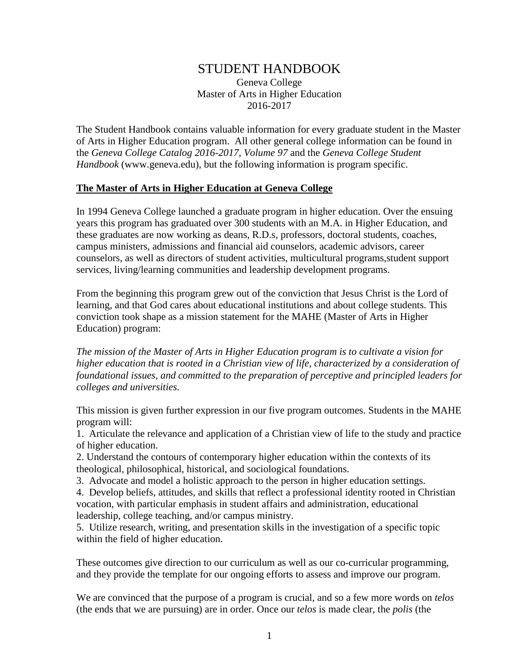# STUDENT HANDBOOK

Geneva College Master of Arts in Higher Education 2016-2017

The Student Handbook contains valuable information for every graduate student in the Master of Arts in Higher Education program. All other general college information can be found in the *Geneva College Catalog 2016-2017, Volume 97* and the *Geneva College Student Handbook* (www.geneva.edu), but the following information is program specific.

#### **The Master of Arts in Higher Education at Geneva College**

In 1994 Geneva College launched a graduate program in higher education. Over the ensuing years this program has graduated over 300 students with an M.A. in Higher Education, and these graduates are now working as deans, R.D.s, professors, doctoral students, coaches, campus ministers, admissions and financial aid counselors, academic advisors, career counselors, as well as directors of student activities, multicultural programs,student support services, living/learning communities and leadership development programs.

From the beginning this program grew out of the conviction that Jesus Christ is the Lord of learning, and that God cares about educational institutions and about college students. This conviction took shape as a mission statement for the MAHE (Master of Arts in Higher Education) program:

*The mission of the Master of Arts in Higher Education program is to cultivate a vision for higher education that is rooted in a Christian view of life, characterized by a consideration of foundational issues, and committed to the preparation of perceptive and principled leaders for colleges and universities.*

This mission is given further expression in our five program outcomes. Students in the MAHE program will:

1. Articulate the relevance and application of a Christian view of life to the study and practice of higher education.

2. Understand the contours of contemporary higher education within the contexts of its theological, philosophical, historical, and sociological foundations.

3. Advocate and model a holistic approach to the person in higher education settings.

4. Develop beliefs, attitudes, and skills that reflect a professional identity rooted in Christian vocation, with particular emphasis in student affairs and administration, educational leadership, college teaching, and/or campus ministry.

5. Utilize research, writing, and presentation skills in the investigation of a specific topic within the field of higher education.

These outcomes give direction to our curriculum as well as our co-curricular programming, and they provide the template for our ongoing efforts to assess and improve our program.

We are convinced that the purpose of a program is crucial, and so a few more words on *telos* (the ends that we are pursuing) are in order. Once our *telos* is made clear, the *polis* (the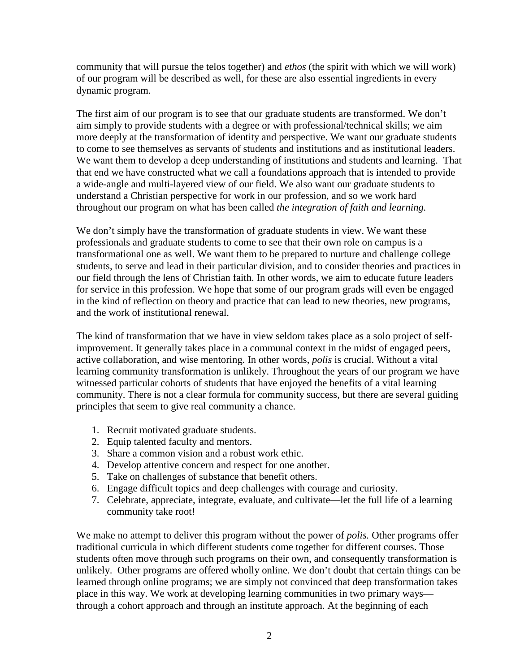community that will pursue the telos together) and *ethos* (the spirit with which we will work) of our program will be described as well, for these are also essential ingredients in every dynamic program.

The first aim of our program is to see that our graduate students are transformed. We don't aim simply to provide students with a degree or with professional/technical skills; we aim more deeply at the transformation of identity and perspective. We want our graduate students to come to see themselves as servants of students and institutions and as institutional leaders. We want them to develop a deep understanding of institutions and students and learning. That that end we have constructed what we call a foundations approach that is intended to provide a wide-angle and multi-layered view of our field. We also want our graduate students to understand a Christian perspective for work in our profession, and so we work hard throughout our program on what has been called *the integration of faith and learning.* 

We don't simply have the transformation of graduate students in view. We want these professionals and graduate students to come to see that their own role on campus is a transformational one as well. We want them to be prepared to nurture and challenge college students, to serve and lead in their particular division, and to consider theories and practices in our field through the lens of Christian faith. In other words, we aim to educate future leaders for service in this profession. We hope that some of our program grads will even be engaged in the kind of reflection on theory and practice that can lead to new theories, new programs, and the work of institutional renewal.

The kind of transformation that we have in view seldom takes place as a solo project of selfimprovement. It generally takes place in a communal context in the midst of engaged peers, active collaboration, and wise mentoring. In other words, *polis* is crucial. Without a vital learning community transformation is unlikely. Throughout the years of our program we have witnessed particular cohorts of students that have enjoyed the benefits of a vital learning community. There is not a clear formula for community success, but there are several guiding principles that seem to give real community a chance.

- 1. Recruit motivated graduate students.
- 2. Equip talented faculty and mentors.
- 3. Share a common vision and a robust work ethic.
- 4. Develop attentive concern and respect for one another.
- 5. Take on challenges of substance that benefit others.
- 6. Engage difficult topics and deep challenges with courage and curiosity.
- 7. Celebrate, appreciate, integrate, evaluate, and cultivate—let the full life of a learning community take root!

We make no attempt to deliver this program without the power of *polis.* Other programs offer traditional curricula in which different students come together for different courses. Those students often move through such programs on their own, and consequently transformation is unlikely. Other programs are offered wholly online. We don't doubt that certain things can be learned through online programs; we are simply not convinced that deep transformation takes place in this way. We work at developing learning communities in two primary ways through a cohort approach and through an institute approach. At the beginning of each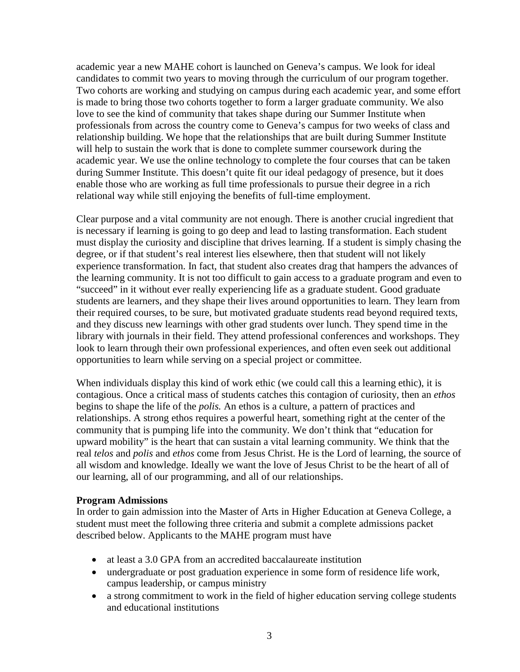academic year a new MAHE cohort is launched on Geneva's campus. We look for ideal candidates to commit two years to moving through the curriculum of our program together. Two cohorts are working and studying on campus during each academic year, and some effort is made to bring those two cohorts together to form a larger graduate community. We also love to see the kind of community that takes shape during our Summer Institute when professionals from across the country come to Geneva's campus for two weeks of class and relationship building. We hope that the relationships that are built during Summer Institute will help to sustain the work that is done to complete summer coursework during the academic year. We use the online technology to complete the four courses that can be taken during Summer Institute. This doesn't quite fit our ideal pedagogy of presence, but it does enable those who are working as full time professionals to pursue their degree in a rich relational way while still enjoying the benefits of full-time employment.

Clear purpose and a vital community are not enough. There is another crucial ingredient that is necessary if learning is going to go deep and lead to lasting transformation. Each student must display the curiosity and discipline that drives learning. If a student is simply chasing the degree, or if that student's real interest lies elsewhere, then that student will not likely experience transformation. In fact, that student also creates drag that hampers the advances of the learning community. It is not too difficult to gain access to a graduate program and even to "succeed" in it without ever really experiencing life as a graduate student. Good graduate students are learners, and they shape their lives around opportunities to learn. They learn from their required courses, to be sure, but motivated graduate students read beyond required texts, and they discuss new learnings with other grad students over lunch. They spend time in the library with journals in their field. They attend professional conferences and workshops. They look to learn through their own professional experiences, and often even seek out additional opportunities to learn while serving on a special project or committee.

When individuals display this kind of work ethic (we could call this a learning ethic), it is contagious. Once a critical mass of students catches this contagion of curiosity, then an *ethos*  begins to shape the life of the *polis.* An ethos is a culture, a pattern of practices and relationships. A strong ethos requires a powerful heart, something right at the center of the community that is pumping life into the community. We don't think that "education for upward mobility" is the heart that can sustain a vital learning community. We think that the real *telos* and *polis* and *ethos* come from Jesus Christ. He is the Lord of learning, the source of all wisdom and knowledge. Ideally we want the love of Jesus Christ to be the heart of all of our learning, all of our programming, and all of our relationships.

#### **Program Admissions**

In order to gain admission into the Master of Arts in Higher Education at Geneva College, a student must meet the following three criteria and submit a complete admissions packet described below. Applicants to the MAHE program must have

- at least a 3.0 GPA from an accredited baccalaureate institution
- undergraduate or post graduation experience in some form of residence life work, campus leadership, or campus ministry
- a strong commitment to work in the field of higher education serving college students and educational institutions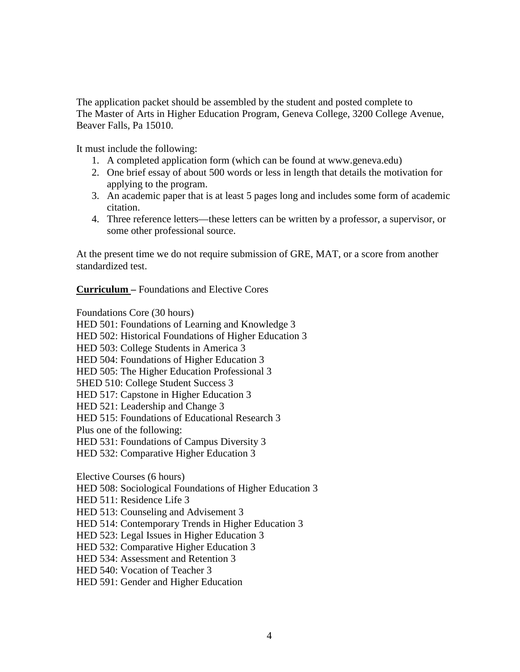The application packet should be assembled by the student and posted complete to The Master of Arts in Higher Education Program, Geneva College, 3200 College Avenue, Beaver Falls, Pa 15010.

It must include the following:

- 1. A completed application form (which can be found at www.geneva.edu)
- 2. One brief essay of about 500 words or less in length that details the motivation for applying to the program.
- 3. An academic paper that is at least 5 pages long and includes some form of academic citation.
- 4. Three reference letters—these letters can be written by a professor, a supervisor, or some other professional source.

At the present time we do not require submission of GRE, MAT, or a score from another standardized test.

**Curriculum –** Foundations and Elective Cores

Foundations Core (30 hours)

HED 501: Foundations of Learning and Knowledge 3

HED 502: Historical Foundations of Higher Education 3

HED 503: College Students in America 3

HED 504: Foundations of Higher Education 3

HED 505: The Higher Education Professional 3

5HED 510: College Student Success 3

HED 517: Capstone in Higher Education 3

HED 521: Leadership and Change 3

HED 515: Foundations of Educational Research 3

Plus one of the following:

HED 531: Foundations of Campus Diversity 3

HED 532: Comparative Higher Education 3

Elective Courses (6 hours)

HED 508: Sociological Foundations of Higher Education 3

HED 511: Residence Life 3

HED 513: Counseling and Advisement 3

HED 514: Contemporary Trends in Higher Education 3

HED 523: Legal Issues in Higher Education 3

HED 532: Comparative Higher Education 3

HED 534: Assessment and Retention 3

HED 540: Vocation of Teacher 3

HED 591: Gender and Higher Education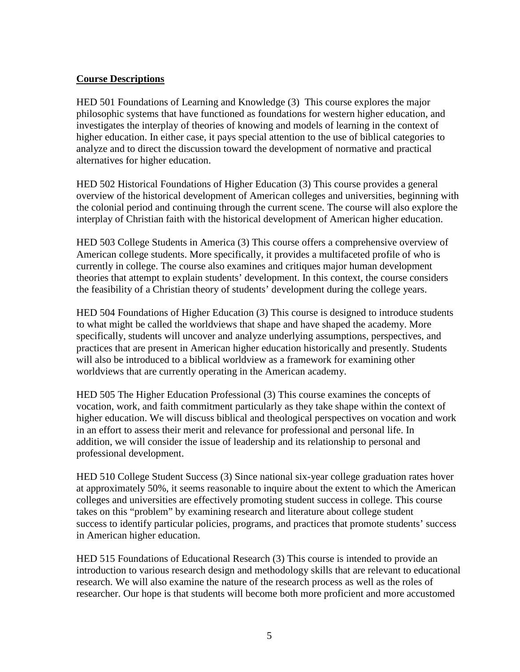### **Course Descriptions**

HED 501 Foundations of Learning and Knowledge (3) This course explores the major philosophic systems that have functioned as foundations for western higher education, and investigates the interplay of theories of knowing and models of learning in the context of higher education. In either case, it pays special attention to the use of biblical categories to analyze and to direct the discussion toward the development of normative and practical alternatives for higher education.

HED 502 Historical Foundations of Higher Education (3) This course provides a general overview of the historical development of American colleges and universities, beginning with the colonial period and continuing through the current scene. The course will also explore the interplay of Christian faith with the historical development of American higher education.

HED 503 College Students in America (3) This course offers a comprehensive overview of American college students. More specifically, it provides a multifaceted profile of who is currently in college. The course also examines and critiques major human development theories that attempt to explain students' development. In this context, the course considers the feasibility of a Christian theory of students' development during the college years.

HED 504 Foundations of Higher Education (3) This course is designed to introduce students to what might be called the worldviews that shape and have shaped the academy. More specifically, students will uncover and analyze underlying assumptions, perspectives, and practices that are present in American higher education historically and presently. Students will also be introduced to a biblical worldview as a framework for examining other worldviews that are currently operating in the American academy.

HED 505 The Higher Education Professional (3) This course examines the concepts of vocation, work, and faith commitment particularly as they take shape within the context of higher education. We will discuss biblical and theological perspectives on vocation and work in an effort to assess their merit and relevance for professional and personal life. In addition, we will consider the issue of leadership and its relationship to personal and professional development.

HED 510 College Student Success (3) Since national six-year college graduation rates hover at approximately 50%, it seems reasonable to inquire about the extent to which the American colleges and universities are effectively promoting student success in college. This course takes on this "problem" by examining research and literature about college student success to identify particular policies, programs, and practices that promote students' success in American higher education.

HED 515 Foundations of Educational Research (3) This course is intended to provide an introduction to various research design and methodology skills that are relevant to educational research. We will also examine the nature of the research process as well as the roles of researcher. Our hope is that students will become both more proficient and more accustomed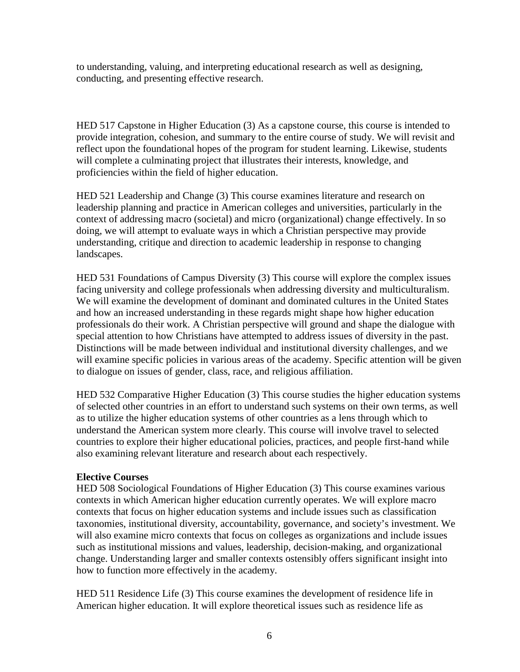to understanding, valuing, and interpreting educational research as well as designing, conducting, and presenting effective research.

HED 517 Capstone in Higher Education (3) As a capstone course, this course is intended to provide integration, cohesion, and summary to the entire course of study. We will revisit and reflect upon the foundational hopes of the program for student learning. Likewise, students will complete a culminating project that illustrates their interests, knowledge, and proficiencies within the field of higher education.

HED 521 Leadership and Change (3) This course examines literature and research on leadership planning and practice in American colleges and universities, particularly in the context of addressing macro (societal) and micro (organizational) change effectively. In so doing, we will attempt to evaluate ways in which a Christian perspective may provide understanding, critique and direction to academic leadership in response to changing landscapes.

HED 531 Foundations of Campus Diversity (3) This course will explore the complex issues facing university and college professionals when addressing diversity and multiculturalism. We will examine the development of dominant and dominated cultures in the United States and how an increased understanding in these regards might shape how higher education professionals do their work. A Christian perspective will ground and shape the dialogue with special attention to how Christians have attempted to address issues of diversity in the past. Distinctions will be made between individual and institutional diversity challenges, and we will examine specific policies in various areas of the academy. Specific attention will be given to dialogue on issues of gender, class, race, and religious affiliation.

HED 532 Comparative Higher Education (3) This course studies the higher education systems of selected other countries in an effort to understand such systems on their own terms, as well as to utilize the higher education systems of other countries as a lens through which to understand the American system more clearly. This course will involve travel to selected countries to explore their higher educational policies, practices, and people first-hand while also examining relevant literature and research about each respectively.

#### **Elective Courses**

HED 508 Sociological Foundations of Higher Education (3) This course examines various contexts in which American higher education currently operates. We will explore macro contexts that focus on higher education systems and include issues such as classification taxonomies, institutional diversity, accountability, governance, and society's investment. We will also examine micro contexts that focus on colleges as organizations and include issues such as institutional missions and values, leadership, decision-making, and organizational change. Understanding larger and smaller contexts ostensibly offers significant insight into how to function more effectively in the academy.

HED 511 Residence Life (3) This course examines the development of residence life in American higher education. It will explore theoretical issues such as residence life as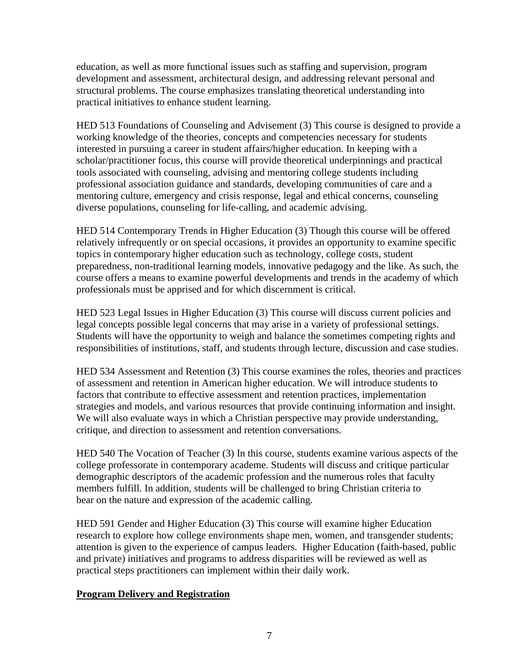education, as well as more functional issues such as staffing and supervision, program development and assessment, architectural design, and addressing relevant personal and structural problems. The course emphasizes translating theoretical understanding into practical initiatives to enhance student learning.

HED 513 Foundations of Counseling and Advisement (3) This course is designed to provide a working knowledge of the theories, concepts and competencies necessary for students interested in pursuing a career in student affairs/higher education. In keeping with a scholar/practitioner focus, this course will provide theoretical underpinnings and practical tools associated with counseling, advising and mentoring college students including professional association guidance and standards, developing communities of care and a mentoring culture, emergency and crisis response, legal and ethical concerns, counseling diverse populations, counseling for life-calling, and academic advising.

HED 514 Contemporary Trends in Higher Education (3) Though this course will be offered relatively infrequently or on special occasions, it provides an opportunity to examine specific topics in contemporary higher education such as technology, college costs, student preparedness, non-traditional learning models, innovative pedagogy and the like. As such, the course offers a means to examine powerful developments and trends in the academy of which professionals must be apprised and for which discernment is critical.

HED 523 Legal Issues in Higher Education (3) This course will discuss current policies and legal concepts possible legal concerns that may arise in a variety of professional settings. Students will have the opportunity to weigh and balance the sometimes competing rights and responsibilities of institutions, staff, and students through lecture, discussion and case studies.

HED 534 Assessment and Retention (3) This course examines the roles, theories and practices of assessment and retention in American higher education. We will introduce students to factors that contribute to effective assessment and retention practices, implementation strategies and models, and various resources that provide continuing information and insight. We will also evaluate ways in which a Christian perspective may provide understanding, critique, and direction to assessment and retention conversations.

HED 540 The Vocation of Teacher (3) In this course, students examine various aspects of the college professorate in contemporary academe. Students will discuss and critique particular demographic descriptors of the academic profession and the numerous roles that faculty members fulfill. In addition, students will be challenged to bring Christian criteria to bear on the nature and expression of the academic calling.

HED 591 Gender and Higher Education (3) This course will examine higher Education research to explore how college environments shape men, women, and transgender students; attention is given to the experience of campus leaders. Higher Education (faith-based, public and private) initiatives and programs to address disparities will be reviewed as well as practical steps practitioners can implement within their daily work.

## **Program Delivery and Registration**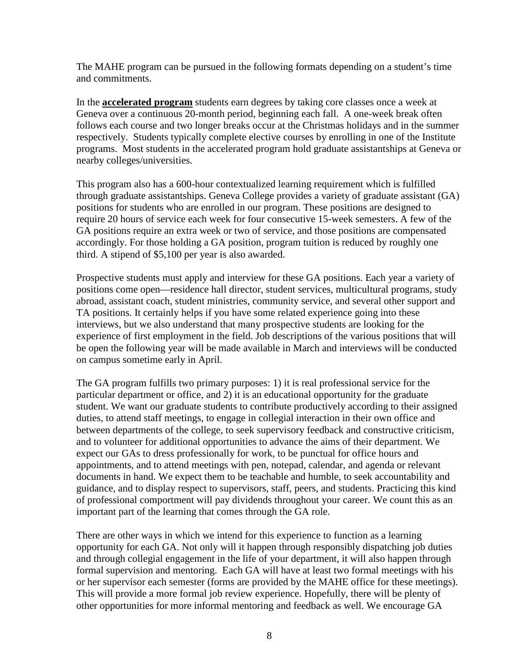The MAHE program can be pursued in the following formats depending on a student's time and commitments.

In the **accelerated program** students earn degrees by taking core classes once a week at Geneva over a continuous 20-month period, beginning each fall. A one-week break often follows each course and two longer breaks occur at the Christmas holidays and in the summer respectively. Students typically complete elective courses by enrolling in one of the Institute programs. Most students in the accelerated program hold graduate assistantships at Geneva or nearby colleges/universities.

This program also has a 600-hour contextualized learning requirement which is fulfilled through graduate assistantships. Geneva College provides a variety of graduate assistant (GA) positions for students who are enrolled in our program. These positions are designed to require 20 hours of service each week for four consecutive 15-week semesters. A few of the GA positions require an extra week or two of service, and those positions are compensated accordingly. For those holding a GA position, program tuition is reduced by roughly one third. A stipend of \$5,100 per year is also awarded.

Prospective students must apply and interview for these GA positions. Each year a variety of positions come open—residence hall director, student services, multicultural programs, study abroad, assistant coach, student ministries, community service, and several other support and TA positions. It certainly helps if you have some related experience going into these interviews, but we also understand that many prospective students are looking for the experience of first employment in the field. Job descriptions of the various positions that will be open the following year will be made available in March and interviews will be conducted on campus sometime early in April.

The GA program fulfills two primary purposes: 1) it is real professional service for the particular department or office, and 2) it is an educational opportunity for the graduate student. We want our graduate students to contribute productively according to their assigned duties, to attend staff meetings, to engage in collegial interaction in their own office and between departments of the college, to seek supervisory feedback and constructive criticism, and to volunteer for additional opportunities to advance the aims of their department. We expect our GAs to dress professionally for work, to be punctual for office hours and appointments, and to attend meetings with pen, notepad, calendar, and agenda or relevant documents in hand. We expect them to be teachable and humble, to seek accountability and guidance, and to display respect to supervisors, staff, peers, and students. Practicing this kind of professional comportment will pay dividends throughout your career. We count this as an important part of the learning that comes through the GA role.

There are other ways in which we intend for this experience to function as a learning opportunity for each GA. Not only will it happen through responsibly dispatching job duties and through collegial engagement in the life of your department, it will also happen through formal supervision and mentoring. Each GA will have at least two formal meetings with his or her supervisor each semester (forms are provided by the MAHE office for these meetings). This will provide a more formal job review experience. Hopefully, there will be plenty of other opportunities for more informal mentoring and feedback as well. We encourage GA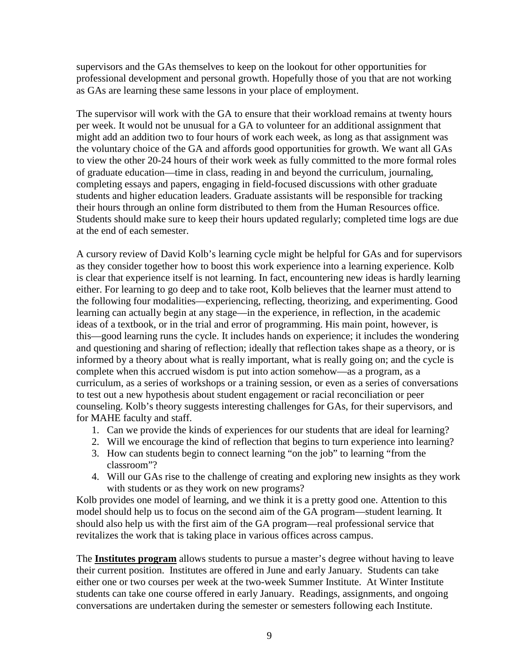supervisors and the GAs themselves to keep on the lookout for other opportunities for professional development and personal growth. Hopefully those of you that are not working as GAs are learning these same lessons in your place of employment.

The supervisor will work with the GA to ensure that their workload remains at twenty hours per week. It would not be unusual for a GA to volunteer for an additional assignment that might add an addition two to four hours of work each week, as long as that assignment was the voluntary choice of the GA and affords good opportunities for growth. We want all GAs to view the other 20-24 hours of their work week as fully committed to the more formal roles of graduate education—time in class, reading in and beyond the curriculum, journaling, completing essays and papers, engaging in field-focused discussions with other graduate students and higher education leaders. Graduate assistants will be responsible for tracking their hours through an online form distributed to them from the Human Resources office. Students should make sure to keep their hours updated regularly; completed time logs are due at the end of each semester.

A cursory review of David Kolb's learning cycle might be helpful for GAs and for supervisors as they consider together how to boost this work experience into a learning experience. Kolb is clear that experience itself is not learning. In fact, encountering new ideas is hardly learning either. For learning to go deep and to take root, Kolb believes that the learner must attend to the following four modalities—experiencing, reflecting, theorizing, and experimenting. Good learning can actually begin at any stage—in the experience, in reflection, in the academic ideas of a textbook, or in the trial and error of programming. His main point, however, is this—good learning runs the cycle. It includes hands on experience; it includes the wondering and questioning and sharing of reflection; ideally that reflection takes shape as a theory, or is informed by a theory about what is really important, what is really going on; and the cycle is complete when this accrued wisdom is put into action somehow—as a program, as a curriculum, as a series of workshops or a training session, or even as a series of conversations to test out a new hypothesis about student engagement or racial reconciliation or peer counseling. Kolb's theory suggests interesting challenges for GAs, for their supervisors, and for MAHE faculty and staff.

- 1. Can we provide the kinds of experiences for our students that are ideal for learning?
- 2. Will we encourage the kind of reflection that begins to turn experience into learning?
- 3. How can students begin to connect learning "on the job" to learning "from the classroom"?
- 4. Will our GAs rise to the challenge of creating and exploring new insights as they work with students or as they work on new programs?

Kolb provides one model of learning, and we think it is a pretty good one. Attention to this model should help us to focus on the second aim of the GA program—student learning. It should also help us with the first aim of the GA program—real professional service that revitalizes the work that is taking place in various offices across campus.

The **Institutes program** allows students to pursue a master's degree without having to leave their current position. Institutes are offered in June and early January. Students can take either one or two courses per week at the two-week Summer Institute. At Winter Institute students can take one course offered in early January. Readings, assignments, and ongoing conversations are undertaken during the semester or semesters following each Institute.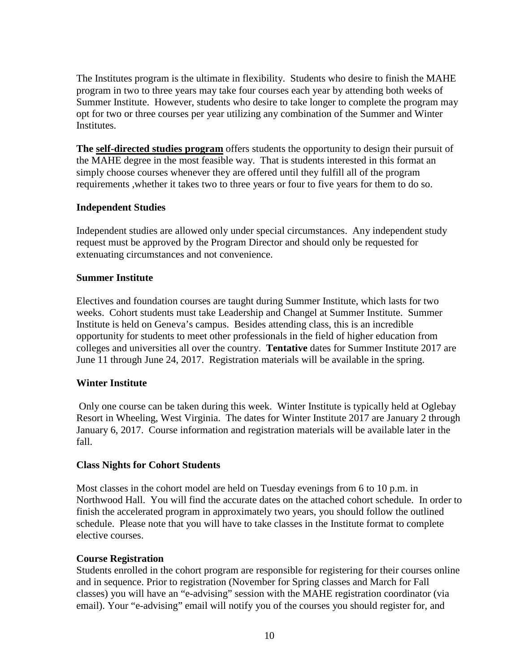The Institutes program is the ultimate in flexibility. Students who desire to finish the MAHE program in two to three years may take four courses each year by attending both weeks of Summer Institute. However, students who desire to take longer to complete the program may opt for two or three courses per year utilizing any combination of the Summer and Winter **Institutes.** 

**The self-directed studies program** offers students the opportunity to design their pursuit of the MAHE degree in the most feasible way. That is students interested in this format an simply choose courses whenever they are offered until they fulfill all of the program requirements ,whether it takes two to three years or four to five years for them to do so.

#### **Independent Studies**

Independent studies are allowed only under special circumstances. Any independent study request must be approved by the Program Director and should only be requested for extenuating circumstances and not convenience.

#### **Summer Institute**

Electives and foundation courses are taught during Summer Institute, which lasts for two weeks. Cohort students must take Leadership and Changel at Summer Institute. Summer Institute is held on Geneva's campus. Besides attending class, this is an incredible opportunity for students to meet other professionals in the field of higher education from colleges and universities all over the country. **Tentative** dates for Summer Institute 2017 are June 11 through June 24, 2017. Registration materials will be available in the spring.

#### **Winter Institute**

Only one course can be taken during this week. Winter Institute is typically held at Oglebay Resort in Wheeling, West Virginia. The dates for Winter Institute 2017 are January 2 through January 6, 2017. Course information and registration materials will be available later in the fall.

#### **Class Nights for Cohort Students**

Most classes in the cohort model are held on Tuesday evenings from 6 to 10 p.m. in Northwood Hall. You will find the accurate dates on the attached cohort schedule. In order to finish the accelerated program in approximately two years, you should follow the outlined schedule. Please note that you will have to take classes in the Institute format to complete elective courses.

#### **Course Registration**

Students enrolled in the cohort program are responsible for registering for their courses online and in sequence. Prior to registration (November for Spring classes and March for Fall classes) you will have an "e-advising" session with the MAHE registration coordinator (via email). Your "e-advising" email will notify you of the courses you should register for, and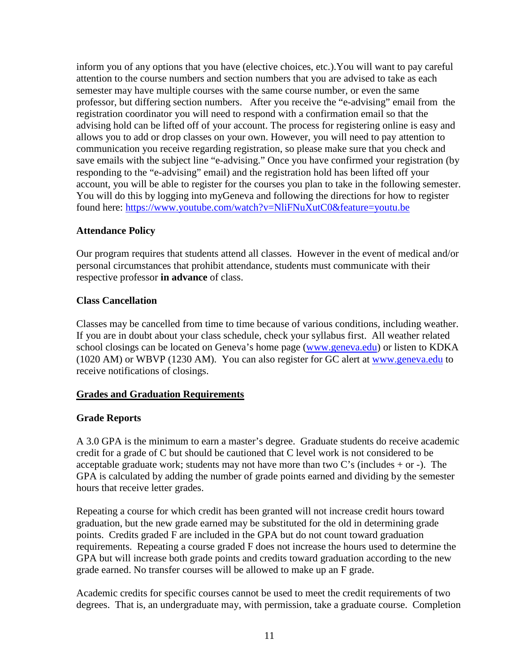inform you of any options that you have (elective choices, etc.).You will want to pay careful attention to the course numbers and section numbers that you are advised to take as each semester may have multiple courses with the same course number, or even the same professor, but differing section numbers. After you receive the "e-advising" email from the registration coordinator you will need to respond with a confirmation email so that the advising hold can be lifted off of your account. The process for registering online is easy and allows you to add or drop classes on your own. However, you will need to pay attention to communication you receive regarding registration, so please make sure that you check and save emails with the subject line "e-advising." Once you have confirmed your registration (by responding to the "e-advising" email) and the registration hold has been lifted off your account, you will be able to register for the courses you plan to take in the following semester. You will do this by logging into myGeneva and following the directions for how to register found here:<https://www.youtube.com/watch?v=NliFNuXutC0&feature=youtu.be>

## **Attendance Policy**

Our program requires that students attend all classes. However in the event of medical and/or personal circumstances that prohibit attendance, students must communicate with their respective professor **in advance** of class.

#### **Class Cancellation**

Classes may be cancelled from time to time because of various conditions, including weather. If you are in doubt about your class schedule, check your syllabus first. All weather related school closings can be located on Geneva's home page [\(www.geneva.edu\)](http://www.geneva.edu/) or listen to KDKA (1020 AM) or WBVP (1230 AM). You can also register for GC alert at [www.geneva.edu](http://www.geneva.edu/) to receive notifications of closings.

## **Grades and Graduation Requirements**

## **Grade Reports**

A 3.0 GPA is the minimum to earn a master's degree. Graduate students do receive academic credit for a grade of C but should be cautioned that C level work is not considered to be acceptable graduate work; students may not have more than two C's (includes  $+$  or  $-$ ). The GPA is calculated by adding the number of grade points earned and dividing by the semester hours that receive letter grades.

Repeating a course for which credit has been granted will not increase credit hours toward graduation, but the new grade earned may be substituted for the old in determining grade points. Credits graded F are included in the GPA but do not count toward graduation requirements. Repeating a course graded F does not increase the hours used to determine the GPA but will increase both grade points and credits toward graduation according to the new grade earned. No transfer courses will be allowed to make up an F grade.

Academic credits for specific courses cannot be used to meet the credit requirements of two degrees. That is, an undergraduate may, with permission, take a graduate course. Completion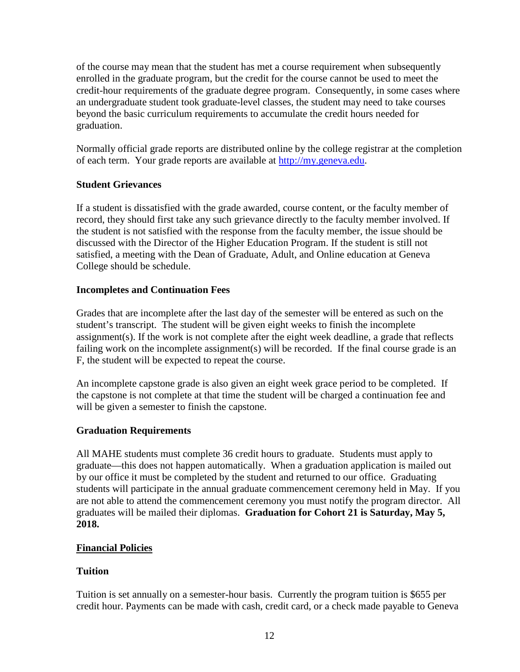of the course may mean that the student has met a course requirement when subsequently enrolled in the graduate program, but the credit for the course cannot be used to meet the credit-hour requirements of the graduate degree program. Consequently, in some cases where an undergraduate student took graduate-level classes, the student may need to take courses beyond the basic curriculum requirements to accumulate the credit hours needed for graduation.

Normally official grade reports are distributed online by the college registrar at the completion of each term. Your grade reports are available at [http://my.geneva.edu.](http://my.geneva.edu/)

## **Student Grievances**

If a student is dissatisfied with the grade awarded, course content, or the faculty member of record, they should first take any such grievance directly to the faculty member involved. If the student is not satisfied with the response from the faculty member, the issue should be discussed with the Director of the Higher Education Program. If the student is still not satisfied, a meeting with the Dean of Graduate, Adult, and Online education at Geneva College should be schedule.

## **Incompletes and Continuation Fees**

Grades that are incomplete after the last day of the semester will be entered as such on the student's transcript. The student will be given eight weeks to finish the incomplete assignment(s). If the work is not complete after the eight week deadline, a grade that reflects failing work on the incomplete assignment(s) will be recorded. If the final course grade is an F, the student will be expected to repeat the course.

An incomplete capstone grade is also given an eight week grace period to be completed. If the capstone is not complete at that time the student will be charged a continuation fee and will be given a semester to finish the capstone.

## **Graduation Requirements**

All MAHE students must complete 36 credit hours to graduate. Students must apply to graduate—this does not happen automatically. When a graduation application is mailed out by our office it must be completed by the student and returned to our office. Graduating students will participate in the annual graduate commencement ceremony held in May. If you are not able to attend the commencement ceremony you must notify the program director. All graduates will be mailed their diplomas. **Graduation for Cohort 21 is Saturday, May 5, 2018.**

## **Financial Policies**

## **Tuition**

Tuition is set annually on a semester-hour basis. Currently the program tuition is \$655 per credit hour. Payments can be made with cash, credit card, or a check made payable to Geneva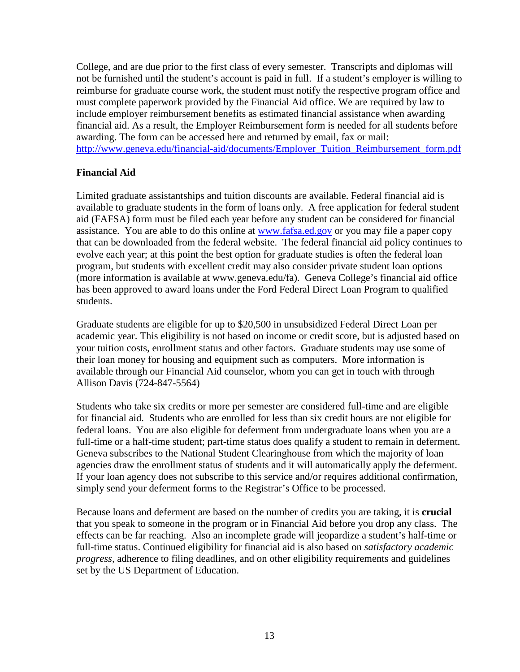College, and are due prior to the first class of every semester. Transcripts and diplomas will not be furnished until the student's account is paid in full. If a student's employer is willing to reimburse for graduate course work, the student must notify the respective program office and must complete paperwork provided by the Financial Aid office. We are required by law to include employer reimbursement benefits as estimated financial assistance when awarding financial aid. As a result, the Employer Reimbursement form is needed for all students before awarding. The form can be accessed here and returned by email, fax or mail: [http://www.geneva.edu/financial-aid/documents/Employer\\_Tuition\\_Reimbursement\\_form.pdf](http://www.geneva.edu/financial-aid/documents/Employer_Tuition_Reimbursement_form.pdf)

#### **Financial Aid**

Limited graduate assistantships and tuition discounts are available. Federal financial aid is available to graduate students in the form of loans only. A free application for federal student aid (FAFSA) form must be filed each year before any student can be considered for financial assistance. You are able to do this online at [www.fafsa.ed.gov](http://www.fafsa.ed.gov/) or you may file a paper copy that can be downloaded from the federal website. The federal financial aid policy continues to evolve each year; at this point the best option for graduate studies is often the federal loan program, but students with excellent credit may also consider private student loan options (more information is available at www.geneva.edu/fa). Geneva College's financial aid office has been approved to award loans under the Ford Federal Direct Loan Program to qualified students.

Graduate students are eligible for up to \$20,500 in unsubsidized Federal Direct Loan per academic year. This eligibility is not based on income or credit score, but is adjusted based on your tuition costs, enrollment status and other factors. Graduate students may use some of their loan money for housing and equipment such as computers. More information is available through our Financial Aid counselor, whom you can get in touch with through Allison Davis (724-847-5564)

Students who take six credits or more per semester are considered full-time and are eligible for financial aid. Students who are enrolled for less than six credit hours are not eligible for federal loans. You are also eligible for deferment from undergraduate loans when you are a full-time or a half-time student; part-time status does qualify a student to remain in deferment. Geneva subscribes to the National Student Clearinghouse from which the majority of loan agencies draw the enrollment status of students and it will automatically apply the deferment. If your loan agency does not subscribe to this service and/or requires additional confirmation, simply send your deferment forms to the Registrar's Office to be processed.

Because loans and deferment are based on the number of credits you are taking, it is **crucial**  that you speak to someone in the program or in Financial Aid before you drop any class. The effects can be far reaching. Also an incomplete grade will jeopardize a student's half-time or full-time status. Continued eligibility for financial aid is also based on *satisfactory academic progress,* adherence to filing deadlines, and on other eligibility requirements and guidelines set by the US Department of Education.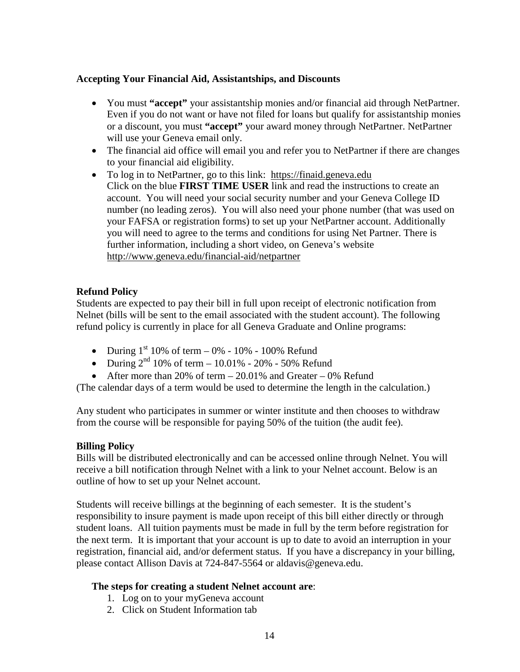#### **Accepting Your Financial Aid, Assistantships, and Discounts**

- You must **"accept"** your assistantship monies and/or financial aid through NetPartner. Even if you do not want or have not filed for loans but qualify for assistantship monies or a discount, you must **"accept"** your award money through NetPartner. NetPartner will use your Geneva email only.
- The financial aid office will email you and refer you to NetPartner if there are changes to your financial aid eligibility.
- To log in to NetPartner, go to this link: [https://finaid.geneva.edu](https://finaid.geneva.edu/) Click on the blue **FIRST TIME USER** link and read the instructions to create an account. You will need your social security number and your Geneva College ID number (no leading zeros). You will also need your phone number (that was used on your FAFSA or registration forms) to set up your NetPartner account. Additionally you will need to agree to the terms and conditions for using Net Partner. There is further information, including a short video, on Geneva's website <http://www.geneva.edu/financial-aid/netpartner>

#### **Refund Policy**

Students are expected to pay their bill in full upon receipt of electronic notification from Nelnet (bills will be sent to the email associated with the student account). The following refund policy is currently in place for all Geneva Graduate and Online programs:

- During  $1^{st}$  10% of term 0% 10% 100% Refund
- During  $2^{nd}$  10% of term 10.01% 20% 50% Refund
- After more than 20% of term  $-20.01\%$  and Greater  $-0\%$  Refund

(The calendar days of a term would be used to determine the length in the calculation.)

Any student who participates in summer or winter institute and then chooses to withdraw from the course will be responsible for paying 50% of the tuition (the audit fee).

#### **Billing Policy**

Bills will be distributed electronically and can be accessed online through Nelnet. You will receive a bill notification through Nelnet with a link to your Nelnet account. Below is an outline of how to set up your Nelnet account.

Students will receive billings at the beginning of each semester. It is the student's responsibility to insure payment is made upon receipt of this bill either directly or through student loans. All tuition payments must be made in full by the term before registration for the next term. It is important that your account is up to date to avoid an interruption in your registration, financial aid, and/or deferment status. If you have a discrepancy in your billing, please contact Allison Davis at 724-847-5564 or aldavis@geneva.edu.

#### **The steps for creating a student Nelnet account are**:

- 1. Log on to your myGeneva account
- 2. Click on Student Information tab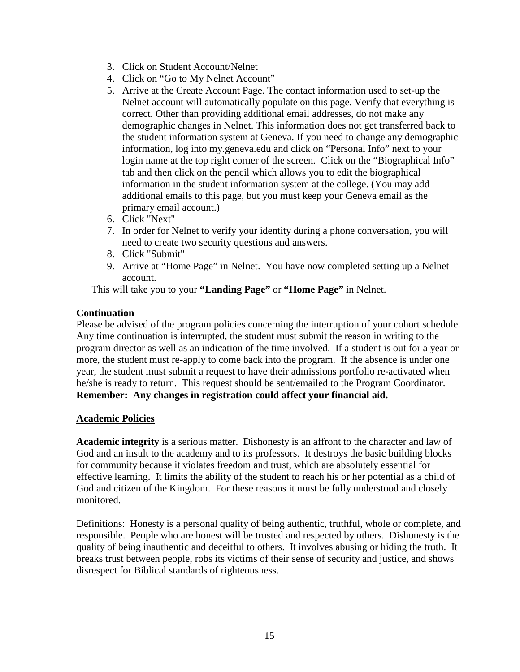- 3. Click on Student Account/Nelnet
- 4. Click on "Go to My Nelnet Account"
- 5. Arrive at the Create Account Page. The contact information used to set-up the Nelnet account will automatically populate on this page. Verify that everything is correct. Other than providing additional email addresses, do not make any demographic changes in Nelnet. This information does not get transferred back to the student information system at Geneva. If you need to change any demographic information, log into my.geneva.edu and click on "Personal Info" next to your login name at the top right corner of the screen. Click on the "Biographical Info" tab and then click on the pencil which allows you to edit the biographical information in the student information system at the college. (You may add additional emails to this page, but you must keep your Geneva email as the primary email account.)
- 6. Click "Next"
- 7. In order for Nelnet to verify your identity during a phone conversation, you will need to create two security questions and answers.
- 8. Click "Submit"
- 9. Arrive at "Home Page" in Nelnet. You have now completed setting up a Nelnet account.

This will take you to your **"Landing Page"** or **"Home Page"** in Nelnet.

#### **Continuation**

Please be advised of the program policies concerning the interruption of your cohort schedule. Any time continuation is interrupted, the student must submit the reason in writing to the program director as well as an indication of the time involved. If a student is out for a year or more, the student must re-apply to come back into the program. If the absence is under one year, the student must submit a request to have their admissions portfolio re-activated when he/she is ready to return. This request should be sent/emailed to the Program Coordinator. **Remember: Any changes in registration could affect your financial aid.**

#### **Academic Policies**

**Academic integrity** is a serious matter. Dishonesty is an affront to the character and law of God and an insult to the academy and to its professors. It destroys the basic building blocks for community because it violates freedom and trust, which are absolutely essential for effective learning. It limits the ability of the student to reach his or her potential as a child of God and citizen of the Kingdom. For these reasons it must be fully understood and closely monitored.

Definitions: Honesty is a personal quality of being authentic, truthful, whole or complete, and responsible. People who are honest will be trusted and respected by others. Dishonesty is the quality of being inauthentic and deceitful to others. It involves abusing or hiding the truth. It breaks trust between people, robs its victims of their sense of security and justice, and shows disrespect for Biblical standards of righteousness.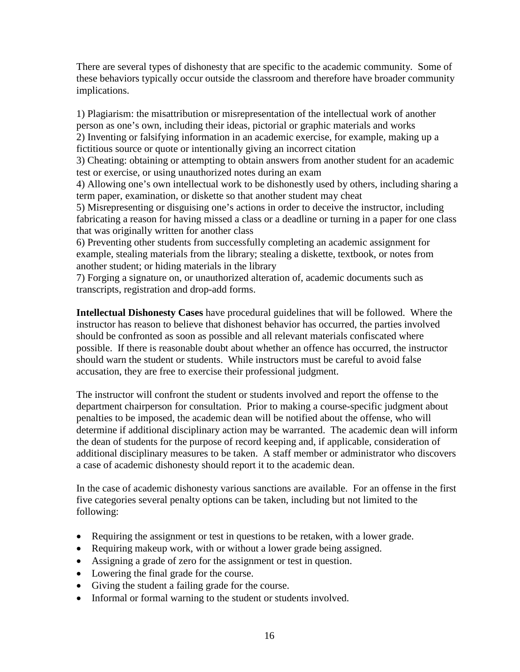There are several types of dishonesty that are specific to the academic community. Some of these behaviors typically occur outside the classroom and therefore have broader community implications.

1) Plagiarism: the misattribution or misrepresentation of the intellectual work of another person as one's own, including their ideas, pictorial or graphic materials and works 2) Inventing or falsifying information in an academic exercise, for example, making up a fictitious source or quote or intentionally giving an incorrect citation

3) Cheating: obtaining or attempting to obtain answers from another student for an academic test or exercise, or using unauthorized notes during an exam

4) Allowing one's own intellectual work to be dishonestly used by others, including sharing a term paper, examination, or diskette so that another student may cheat

5) Misrepresenting or disguising one's actions in order to deceive the instructor, including fabricating a reason for having missed a class or a deadline or turning in a paper for one class that was originally written for another class

6) Preventing other students from successfully completing an academic assignment for example, stealing materials from the library; stealing a diskette, textbook, or notes from another student; or hiding materials in the library

7) Forging a signature on, or unauthorized alteration of, academic documents such as transcripts, registration and drop-add forms.

**Intellectual Dishonesty Cases** have procedural guidelines that will be followed. Where the instructor has reason to believe that dishonest behavior has occurred, the parties involved should be confronted as soon as possible and all relevant materials confiscated where possible. If there is reasonable doubt about whether an offence has occurred, the instructor should warn the student or students. While instructors must be careful to avoid false accusation, they are free to exercise their professional judgment.

The instructor will confront the student or students involved and report the offense to the department chairperson for consultation. Prior to making a course-specific judgment about penalties to be imposed, the academic dean will be notified about the offense, who will determine if additional disciplinary action may be warranted. The academic dean will inform the dean of students for the purpose of record keeping and, if applicable, consideration of additional disciplinary measures to be taken. A staff member or administrator who discovers a case of academic dishonesty should report it to the academic dean.

In the case of academic dishonesty various sanctions are available. For an offense in the first five categories several penalty options can be taken, including but not limited to the following:

- Requiring the assignment or test in questions to be retaken, with a lower grade.
- Requiring makeup work, with or without a lower grade being assigned.
- Assigning a grade of zero for the assignment or test in question.
- Lowering the final grade for the course.
- Giving the student a failing grade for the course.
- Informal or formal warning to the student or students involved.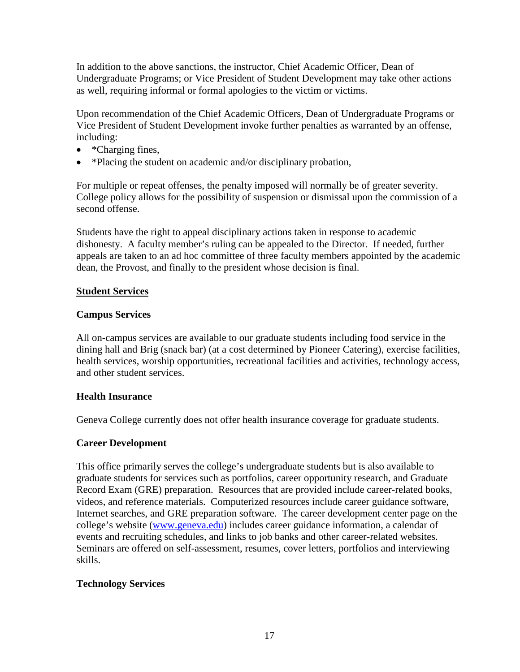In addition to the above sanctions, the instructor, Chief Academic Officer, Dean of Undergraduate Programs; or Vice President of Student Development may take other actions as well, requiring informal or formal apologies to the victim or victims.

Upon recommendation of the Chief Academic Officers, Dean of Undergraduate Programs or Vice President of Student Development invoke further penalties as warranted by an offense, including:

- \*Charging fines,
- \*Placing the student on academic and/or disciplinary probation,

For multiple or repeat offenses, the penalty imposed will normally be of greater severity. College policy allows for the possibility of suspension or dismissal upon the commission of a second offense.

Students have the right to appeal disciplinary actions taken in response to academic dishonesty. A faculty member's ruling can be appealed to the Director. If needed, further appeals are taken to an ad hoc committee of three faculty members appointed by the academic dean, the Provost, and finally to the president whose decision is final.

## **Student Services**

#### **Campus Services**

All on-campus services are available to our graduate students including food service in the dining hall and Brig (snack bar) (at a cost determined by Pioneer Catering), exercise facilities, health services, worship opportunities, recreational facilities and activities, technology access, and other student services.

## **Health Insurance**

Geneva College currently does not offer health insurance coverage for graduate students.

## **Career Development**

This office primarily serves the college's undergraduate students but is also available to graduate students for services such as portfolios, career opportunity research, and Graduate Record Exam (GRE) preparation. Resources that are provided include career-related books, videos, and reference materials. Computerized resources include career guidance software, Internet searches, and GRE preparation software. The career development center page on the college's website [\(www.geneva.edu\)](http://www.geneva.edu/) includes career guidance information, a calendar of events and recruiting schedules, and links to job banks and other career-related websites. Seminars are offered on self-assessment, resumes, cover letters, portfolios and interviewing skills.

## **Technology Services**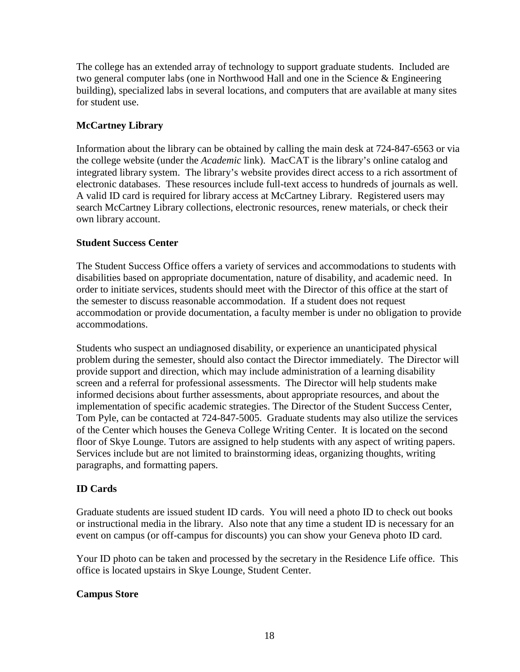The college has an extended array of technology to support graduate students. Included are two general computer labs (one in Northwood Hall and one in the Science & Engineering building), specialized labs in several locations, and computers that are available at many sites for student use.

## **McCartney Library**

Information about the library can be obtained by calling the main desk at 724-847-6563 or via the college website (under the *Academic* link). MacCAT is the library's online catalog and integrated library system. The library's website provides direct access to a rich assortment of electronic databases. These resources include full-text access to hundreds of journals as well. A valid ID card is required for library access at McCartney Library. Registered users may search McCartney Library collections, electronic resources, renew materials, or check their own library account.

## **Student Success Center**

The Student Success Office offers a variety of services and accommodations to students with disabilities based on appropriate documentation, nature of disability, and academic need. In order to initiate services, students should meet with the Director of this office at the start of the semester to discuss reasonable accommodation. If a student does not request accommodation or provide documentation, a faculty member is under no obligation to provide accommodations.

Students who suspect an undiagnosed disability, or experience an unanticipated physical problem during the semester, should also contact the Director immediately. The Director will provide support and direction, which may include administration of a learning disability screen and a referral for professional assessments. The Director will help students make informed decisions about further assessments, about appropriate resources, and about the implementation of specific academic strategies. The Director of the Student Success Center, Tom Pyle, can be contacted at 724-847-5005. Graduate students may also utilize the services of the Center which houses the Geneva College Writing Center. It is located on the second floor of Skye Lounge. Tutors are assigned to help students with any aspect of writing papers. Services include but are not limited to brainstorming ideas, organizing thoughts, writing paragraphs, and formatting papers.

## **ID Cards**

Graduate students are issued student ID cards. You will need a photo ID to check out books or instructional media in the library. Also note that any time a student ID is necessary for an event on campus (or off-campus for discounts) you can show your Geneva photo ID card.

Your ID photo can be taken and processed by the secretary in the Residence Life office. This office is located upstairs in Skye Lounge, Student Center.

## **Campus Store**